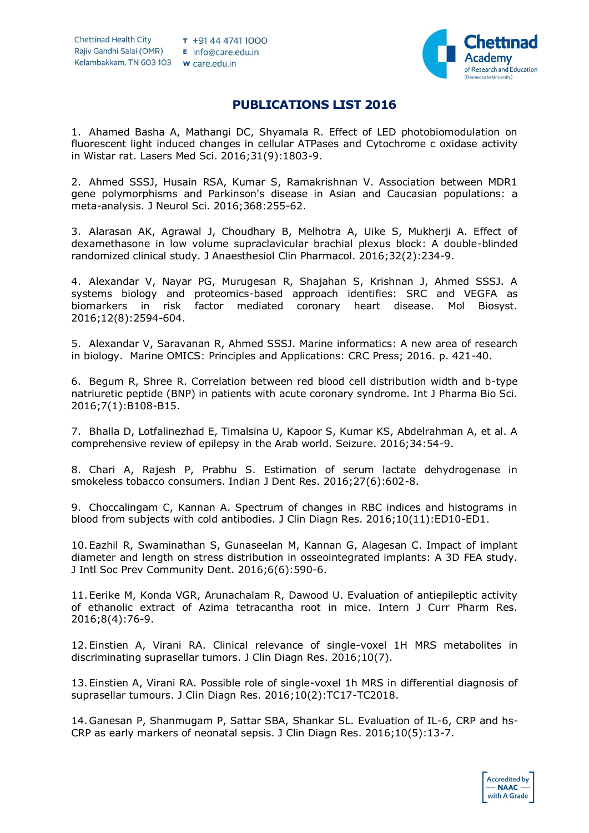

## **PUBLICATIONS LIST 2016**

1. Ahamed Basha A, Mathangi DC, Shyamala R. Effect of LED photobiomodulation on fluorescent light induced changes in cellular ATPases and Cytochrome c oxidase activity in Wistar rat. Lasers Med Sci. 2016;31(9):1803-9.

2. Ahmed SSSJ, Husain RSA, Kumar S, Ramakrishnan V. Association between MDR1 gene polymorphisms and Parkinson's disease in Asian and Caucasian populations: a meta-analysis. J Neurol Sci. 2016;368:255-62.

3. Alarasan AK, Agrawal J, Choudhary B, Melhotra A, Uike S, Mukherji A. Effect of dexamethasone in low volume supraclavicular brachial plexus block: A double-blinded randomized clinical study. J Anaesthesiol Clin Pharmacol. 2016;32(2):234-9.

4. Alexandar V, Nayar PG, Murugesan R, Shajahan S, Krishnan J, Ahmed SSSJ. A systems biology and proteomics-based approach identifies: SRC and VEGFA as biomarkers in risk factor mediated coronary heart disease. Mol Biosyst. 2016;12(8):2594-604.

5. Alexandar V, Saravanan R, Ahmed SSSJ. Marine informatics: A new area of research in biology. Marine OMICS: Principles and Applications: CRC Press; 2016. p. 421-40.

6. Begum R, Shree R. Correlation between red blood cell distribution width and b-type natriuretic peptide (BNP) in patients with acute coronary syndrome. Int J Pharma Bio Sci. 2016;7(1):B108-B15.

7. Bhalla D, Lotfalinezhad E, Timalsina U, Kapoor S, Kumar KS, Abdelrahman A, et al. A comprehensive review of epilepsy in the Arab world. Seizure. 2016;34:54-9.

8. Chari A, Rajesh P, Prabhu S. Estimation of serum lactate dehydrogenase in smokeless tobacco consumers. Indian J Dent Res. 2016;27(6):602-8.

9. Choccalingam C, Kannan A. Spectrum of changes in RBC indices and histograms in blood from subjects with cold antibodies. J Clin Diagn Res. 2016;10(11):ED10-ED1.

10.Eazhil R, Swaminathan S, Gunaseelan M, Kannan G, Alagesan C. Impact of implant diameter and length on stress distribution in osseointegrated implants: A 3D FEA study. J Intl Soc Prev Community Dent. 2016;6(6):590-6.

11.Eerike M, Konda VGR, Arunachalam R, Dawood U. Evaluation of antiepileptic activity of ethanolic extract of Azima tetracantha root in mice. Intern J Curr Pharm Res. 2016;8(4):76-9.

12.Einstien A, Virani RA. Clinical relevance of single-voxel 1H MRS metabolites in discriminating suprasellar tumors. J Clin Diagn Res. 2016;10(7).

13.Einstien A, Virani RA. Possible role of single-voxel 1h MRS in differential diagnosis of suprasellar tumours. J Clin Diagn Res. 2016;10(2):TC17-TC2018.

14.Ganesan P, Shanmugam P, Sattar SBA, Shankar SL. Evaluation of IL-6, CRP and hs-CRP as early markers of neonatal sepsis. J Clin Diagn Res. 2016;10(5):13-7.

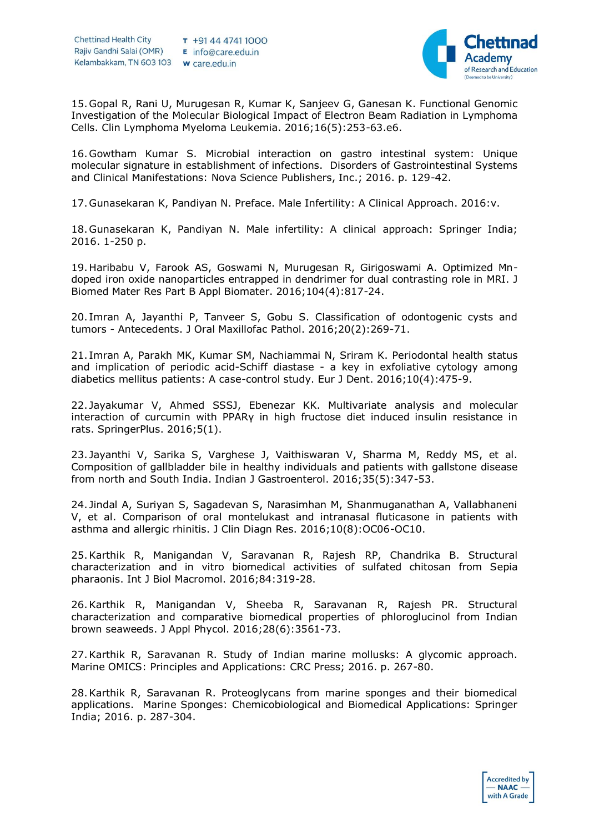

15.Gopal R, Rani U, Murugesan R, Kumar K, Sanjeev G, Ganesan K. Functional Genomic Investigation of the Molecular Biological Impact of Electron Beam Radiation in Lymphoma Cells. Clin Lymphoma Myeloma Leukemia. 2016;16(5):253-63.e6.

16.Gowtham Kumar S. Microbial interaction on gastro intestinal system: Unique molecular signature in establishment of infections. Disorders of Gastrointestinal Systems and Clinical Manifestations: Nova Science Publishers, Inc.; 2016. p. 129-42.

17.Gunasekaran K, Pandiyan N. Preface. Male Infertility: A Clinical Approach. 2016:v.

18.Gunasekaran K, Pandiyan N. Male infertility: A clinical approach: Springer India; 2016. 1-250 p.

19.Haribabu V, Farook AS, Goswami N, Murugesan R, Girigoswami A. Optimized Mndoped iron oxide nanoparticles entrapped in dendrimer for dual contrasting role in MRI. J Biomed Mater Res Part B Appl Biomater. 2016;104(4):817-24.

20. Imran A, Jayanthi P, Tanveer S, Gobu S. Classification of odontogenic cysts and tumors - Antecedents. J Oral Maxillofac Pathol. 2016;20(2):269-71.

21. Imran A, Parakh MK, Kumar SM, Nachiammai N, Sriram K. Periodontal health status and implication of periodic acid-Schiff diastase - a key in exfoliative cytology among diabetics mellitus patients: A case-control study. Eur J Dent. 2016;10(4):475-9.

22. Jayakumar V, Ahmed SSSJ, Ebenezar KK. Multivariate analysis and molecular interaction of curcumin with PPARγ in high fructose diet induced insulin resistance in rats. SpringerPlus. 2016;5(1).

23. Jayanthi V, Sarika S, Varghese J, Vaithiswaran V, Sharma M, Reddy MS, et al. Composition of gallbladder bile in healthy individuals and patients with gallstone disease from north and South India. Indian J Gastroenterol. 2016;35(5):347-53.

24. Jindal A, Suriyan S, Sagadevan S, Narasimhan M, Shanmuganathan A, Vallabhaneni V, et al. Comparison of oral montelukast and intranasal fluticasone in patients with asthma and allergic rhinitis. J Clin Diagn Res. 2016;10(8):OC06-OC10.

25.Karthik R, Manigandan V, Saravanan R, Rajesh RP, Chandrika B. Structural characterization and in vitro biomedical activities of sulfated chitosan from Sepia pharaonis. Int J Biol Macromol. 2016;84:319-28.

26.Karthik R, Manigandan V, Sheeba R, Saravanan R, Rajesh PR. Structural characterization and comparative biomedical properties of phloroglucinol from Indian brown seaweeds. J Appl Phycol. 2016;28(6):3561-73.

27.Karthik R, Saravanan R. Study of Indian marine mollusks: A glycomic approach. Marine OMICS: Principles and Applications: CRC Press; 2016. p. 267-80.

28.Karthik R, Saravanan R. Proteoglycans from marine sponges and their biomedical applications. Marine Sponges: Chemicobiological and Biomedical Applications: Springer India; 2016. p. 287-304.

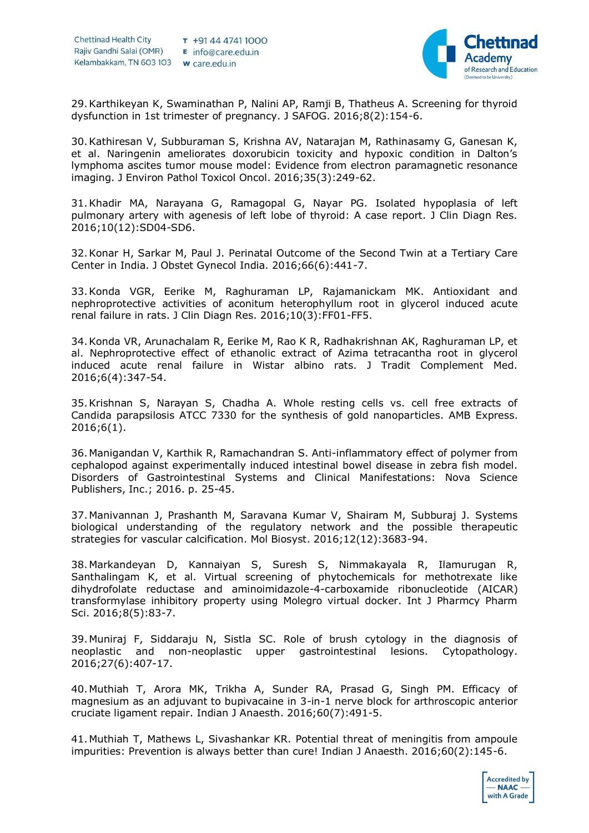

29.Karthikeyan K, Swaminathan P, Nalini AP, Ramji B, Thatheus A. Screening for thyroid dysfunction in 1st trimester of pregnancy. J SAFOG. 2016;8(2):154-6.

30.Kathiresan V, Subburaman S, Krishna AV, Natarajan M, Rathinasamy G, Ganesan K, et al. Naringenin ameliorates doxorubicin toxicity and hypoxic condition in Dalton's lymphoma ascites tumor mouse model: Evidence from electron paramagnetic resonance imaging. J Environ Pathol Toxicol Oncol. 2016;35(3):249-62.

31.Khadir MA, Narayana G, Ramagopal G, Nayar PG. Isolated hypoplasia of left pulmonary artery with agenesis of left lobe of thyroid: A case report. J Clin Diagn Res. 2016;10(12):SD04-SD6.

32.Konar H, Sarkar M, Paul J. Perinatal Outcome of the Second Twin at a Tertiary Care Center in India. J Obstet Gynecol India. 2016;66(6):441-7.

33.Konda VGR, Eerike M, Raghuraman LP, Rajamanickam MK. Antioxidant and nephroprotective activities of aconitum heterophyllum root in glycerol induced acute renal failure in rats. J Clin Diagn Res. 2016;10(3):FF01-FF5.

34.Konda VR, Arunachalam R, Eerike M, Rao K R, Radhakrishnan AK, Raghuraman LP, et al. Nephroprotective effect of ethanolic extract of Azima tetracantha root in glycerol induced acute renal failure in Wistar albino rats. J Tradit Complement Med. 2016;6(4):347-54.

35.Krishnan S, Narayan S, Chadha A. Whole resting cells vs. cell free extracts of Candida parapsilosis ATCC 7330 for the synthesis of gold nanoparticles. AMB Express. 2016;6(1).

36.Manigandan V, Karthik R, Ramachandran S. Anti-inflammatory effect of polymer from cephalopod against experimentally induced intestinal bowel disease in zebra fish model. Disorders of Gastrointestinal Systems and Clinical Manifestations: Nova Science Publishers, Inc.; 2016. p. 25-45.

37.Manivannan J, Prashanth M, Saravana Kumar V, Shairam M, Subburaj J. Systems biological understanding of the regulatory network and the possible therapeutic strategies for vascular calcification. Mol Biosyst. 2016;12(12):3683-94.

38.Markandeyan D, Kannaiyan S, Suresh S, Nimmakayala R, Ilamurugan R, Santhalingam K, et al. Virtual screening of phytochemicals for methotrexate like dihydrofolate reductase and aminoimidazole-4-carboxamide ribonucleotide (AICAR) transformylase inhibitory property using Molegro virtual docker. Int J Pharmcy Pharm Sci. 2016;8(5):83-7.

39.Muniraj F, Siddaraju N, Sistla SC. Role of brush cytology in the diagnosis of neoplastic and non-neoplastic upper gastrointestinal lesions. Cytopathology. 2016;27(6):407-17.

40.Muthiah T, Arora MK, Trikha A, Sunder RA, Prasad G, Singh PM. Efficacy of magnesium as an adjuvant to bupivacaine in 3-in-1 nerve block for arthroscopic anterior cruciate ligament repair. Indian J Anaesth. 2016;60(7):491-5.

41.Muthiah T, Mathews L, Sivashankar KR. Potential threat of meningitis from ampoule impurities: Prevention is always better than cure! Indian J Anaesth. 2016;60(2):145-6.

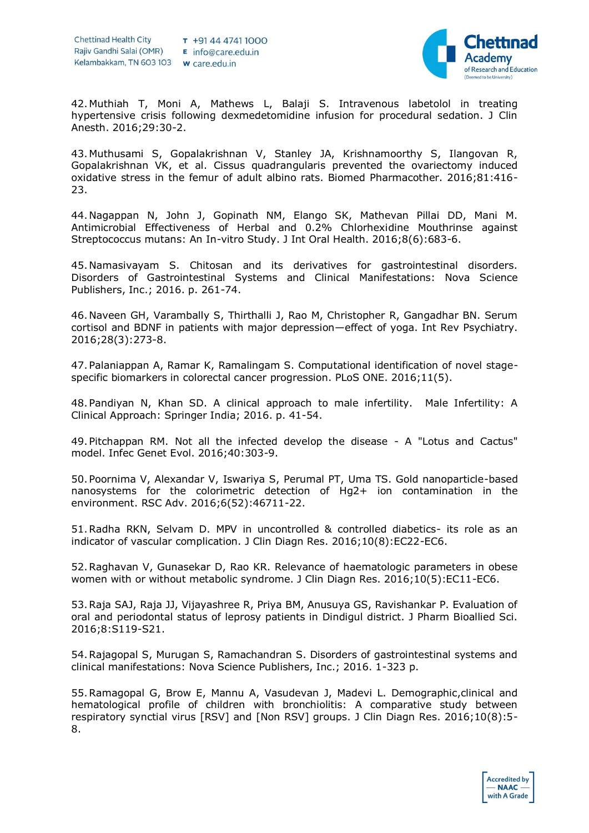

42.Muthiah T, Moni A, Mathews L, Balaji S. Intravenous labetolol in treating hypertensive crisis following dexmedetomidine infusion for procedural sedation. J Clin Anesth. 2016;29:30-2.

43.Muthusami S, Gopalakrishnan V, Stanley JA, Krishnamoorthy S, Ilangovan R, Gopalakrishnan VK, et al. Cissus quadrangularis prevented the ovariectomy induced oxidative stress in the femur of adult albino rats. Biomed Pharmacother. 2016;81:416- 23.

44.Nagappan N, John J, Gopinath NM, Elango SK, Mathevan Pillai DD, Mani M. Antimicrobial Effectiveness of Herbal and 0.2% Chlorhexidine Mouthrinse against Streptococcus mutans: An In-vitro Study. J Int Oral Health. 2016;8(6):683-6.

45.Namasivayam S. Chitosan and its derivatives for gastrointestinal disorders. Disorders of Gastrointestinal Systems and Clinical Manifestations: Nova Science Publishers, Inc.; 2016. p. 261-74.

46.Naveen GH, Varambally S, Thirthalli J, Rao M, Christopher R, Gangadhar BN. Serum cortisol and BDNF in patients with major depression—effect of yoga. Int Rev Psychiatry. 2016;28(3):273-8.

47.Palaniappan A, Ramar K, Ramalingam S. Computational identification of novel stagespecific biomarkers in colorectal cancer progression. PLoS ONE. 2016;11(5).

48.Pandiyan N, Khan SD. A clinical approach to male infertility. Male Infertility: A Clinical Approach: Springer India; 2016. p. 41-54.

49.Pitchappan RM. Not all the infected develop the disease - A "Lotus and Cactus" model. Infec Genet Evol. 2016;40:303-9.

50.Poornima V, Alexandar V, Iswariya S, Perumal PT, Uma TS. Gold nanoparticle-based nanosystems for the colorimetric detection of Hg2+ ion contamination in the environment. RSC Adv. 2016;6(52):46711-22.

51.Radha RKN, Selvam D. MPV in uncontrolled & controlled diabetics- its role as an indicator of vascular complication. J Clin Diagn Res. 2016;10(8):EC22-EC6.

52.Raghavan V, Gunasekar D, Rao KR. Relevance of haematologic parameters in obese women with or without metabolic syndrome. J Clin Diagn Res. 2016;10(5):EC11-EC6.

53.Raja SAJ, Raja JJ, Vijayashree R, Priya BM, Anusuya GS, Ravishankar P. Evaluation of oral and periodontal status of leprosy patients in Dindigul district. J Pharm Bioallied Sci. 2016;8:S119-S21.

54.Rajagopal S, Murugan S, Ramachandran S. Disorders of gastrointestinal systems and clinical manifestations: Nova Science Publishers, Inc.; 2016. 1-323 p.

55.Ramagopal G, Brow E, Mannu A, Vasudevan J, Madevi L. Demographic,clinical and hematological profile of children with bronchiolitis: A comparative study between respiratory synctial virus [RSV] and [Non RSV] groups. J Clin Diagn Res. 2016;10(8):5- 8.

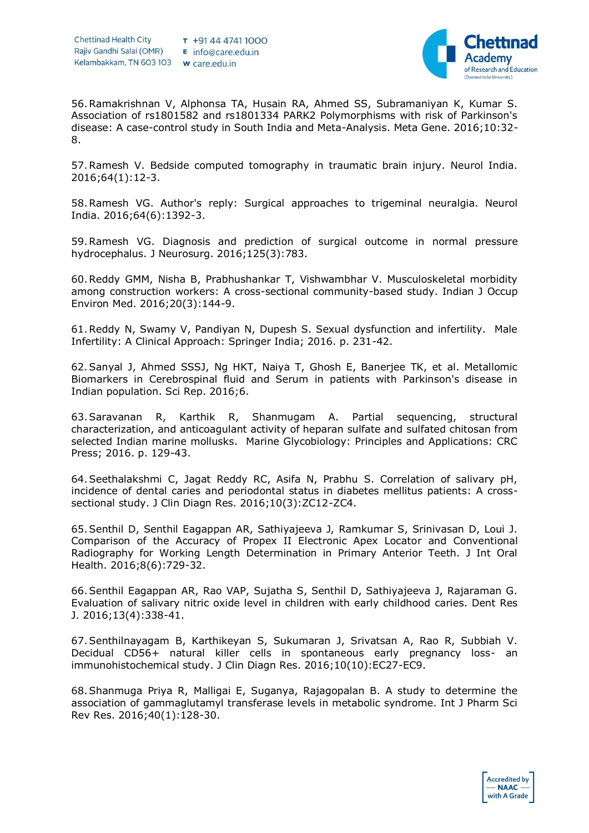

56.Ramakrishnan V, Alphonsa TA, Husain RA, Ahmed SS, Subramaniyan K, Kumar S. Association of rs1801582 and rs1801334 PARK2 Polymorphisms with risk of Parkinson's disease: A case-control study in South India and Meta-Analysis. Meta Gene. 2016;10:32- 8.

57.Ramesh V. Bedside computed tomography in traumatic brain injury. Neurol India. 2016;64(1):12-3.

58.Ramesh VG. Author's reply: Surgical approaches to trigeminal neuralgia. Neurol India. 2016;64(6):1392-3.

59.Ramesh VG. Diagnosis and prediction of surgical outcome in normal pressure hydrocephalus. J Neurosurg. 2016;125(3):783.

60.Reddy GMM, Nisha B, Prabhushankar T, Vishwambhar V. Musculoskeletal morbidity among construction workers: A cross-sectional community-based study. Indian J Occup Environ Med. 2016;20(3):144-9.

61.Reddy N, Swamy V, Pandiyan N, Dupesh S. Sexual dysfunction and infertility. Male Infertility: A Clinical Approach: Springer India; 2016. p. 231-42.

62.Sanyal J, Ahmed SSSJ, Ng HKT, Naiya T, Ghosh E, Banerjee TK, et al. Metallomic Biomarkers in Cerebrospinal fluid and Serum in patients with Parkinson's disease in Indian population. Sci Rep. 2016;6.

63.Saravanan R, Karthik R, Shanmugam A. Partial sequencing, structural characterization, and anticoagulant activity of heparan sulfate and sulfated chitosan from selected Indian marine mollusks. Marine Glycobiology: Principles and Applications: CRC Press; 2016. p. 129-43.

64.Seethalakshmi C, Jagat Reddy RC, Asifa N, Prabhu S. Correlation of salivary pH, incidence of dental caries and periodontal status in diabetes mellitus patients: A crosssectional study. J Clin Diagn Res. 2016;10(3):ZC12-ZC4.

65.Senthil D, Senthil Eagappan AR, Sathiyajeeva J, Ramkumar S, Srinivasan D, Loui J. Comparison of the Accuracy of Propex II Electronic Apex Locator and Conventional Radiography for Working Length Determination in Primary Anterior Teeth. J Int Oral Health. 2016;8(6):729-32.

66.Senthil Eagappan AR, Rao VAP, Sujatha S, Senthil D, Sathiyajeeva J, Rajaraman G. Evaluation of salivary nitric oxide level in children with early childhood caries. Dent Res J. 2016;13(4):338-41.

67.Senthilnayagam B, Karthikeyan S, Sukumaran J, Srivatsan A, Rao R, Subbiah V. Decidual CD56+ natural killer cells in spontaneous early pregnancy loss- an immunohistochemical study. J Clin Diagn Res. 2016;10(10):EC27-EC9.

68.Shanmuga Priya R, Malligai E, Suganya, Rajagopalan B. A study to determine the association of gammaglutamyl transferase levels in metabolic syndrome. Int J Pharm Sci Rev Res. 2016;40(1):128-30.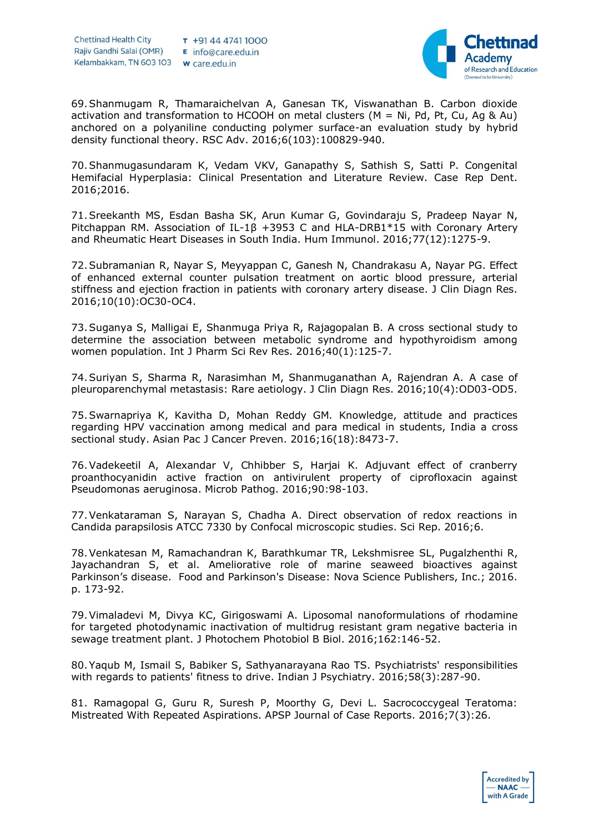

69.Shanmugam R, Thamaraichelvan A, Ganesan TK, Viswanathan B. Carbon dioxide activation and transformation to HCOOH on metal clusters ( $M = Ni$ , Pd, Pt, Cu, Ag & Au) anchored on a polyaniline conducting polymer surface-an evaluation study by hybrid density functional theory. RSC Adv. 2016;6(103):100829-940.

70.Shanmugasundaram K, Vedam VKV, Ganapathy S, Sathish S, Satti P. Congenital Hemifacial Hyperplasia: Clinical Presentation and Literature Review. Case Rep Dent. 2016;2016.

71.Sreekanth MS, Esdan Basha SK, Arun Kumar G, Govindaraju S, Pradeep Nayar N, Pitchappan RM. Association of IL-1β +3953 C and HLA-DRB1\*15 with Coronary Artery and Rheumatic Heart Diseases in South India. Hum Immunol. 2016;77(12):1275-9.

72.Subramanian R, Nayar S, Meyyappan C, Ganesh N, Chandrakasu A, Nayar PG. Effect of enhanced external counter pulsation treatment on aortic blood pressure, arterial stiffness and ejection fraction in patients with coronary artery disease. J Clin Diagn Res. 2016;10(10):OC30-OC4.

73.Suganya S, Malligai E, Shanmuga Priya R, Rajagopalan B. A cross sectional study to determine the association between metabolic syndrome and hypothyroidism among women population. Int J Pharm Sci Rev Res. 2016;40(1):125-7.

74.Suriyan S, Sharma R, Narasimhan M, Shanmuganathan A, Rajendran A. A case of pleuroparenchymal metastasis: Rare aetiology. J Clin Diagn Res. 2016;10(4):OD03-OD5.

75.Swarnapriya K, Kavitha D, Mohan Reddy GM. Knowledge, attitude and practices regarding HPV vaccination among medical and para medical in students, India a cross sectional study. Asian Pac J Cancer Preven. 2016;16(18):8473-7.

76.Vadekeetil A, Alexandar V, Chhibber S, Harjai K. Adjuvant effect of cranberry proanthocyanidin active fraction on antivirulent property of ciprofloxacin against Pseudomonas aeruginosa. Microb Pathog. 2016;90:98-103.

77.Venkataraman S, Narayan S, Chadha A. Direct observation of redox reactions in Candida parapsilosis ATCC 7330 by Confocal microscopic studies. Sci Rep. 2016;6.

78.Venkatesan M, Ramachandran K, Barathkumar TR, Lekshmisree SL, Pugalzhenthi R, Jayachandran S, et al. Ameliorative role of marine seaweed bioactives against Parkinson's disease. Food and Parkinson's Disease: Nova Science Publishers, Inc.; 2016. p. 173-92.

79.Vimaladevi M, Divya KC, Girigoswami A. Liposomal nanoformulations of rhodamine for targeted photodynamic inactivation of multidrug resistant gram negative bacteria in sewage treatment plant. J Photochem Photobiol B Biol. 2016;162:146-52.

80.Yaqub M, Ismail S, Babiker S, Sathyanarayana Rao TS. Psychiatrists' responsibilities with regards to patients' fitness to drive. Indian J Psychiatry. 2016;58(3):287-90.

81. Ramagopal G, Guru R, Suresh P, Moorthy G, Devi L. Sacrococcygeal Teratoma: Mistreated With Repeated Aspirations. APSP Journal of Case Reports. 2016;7(3):26.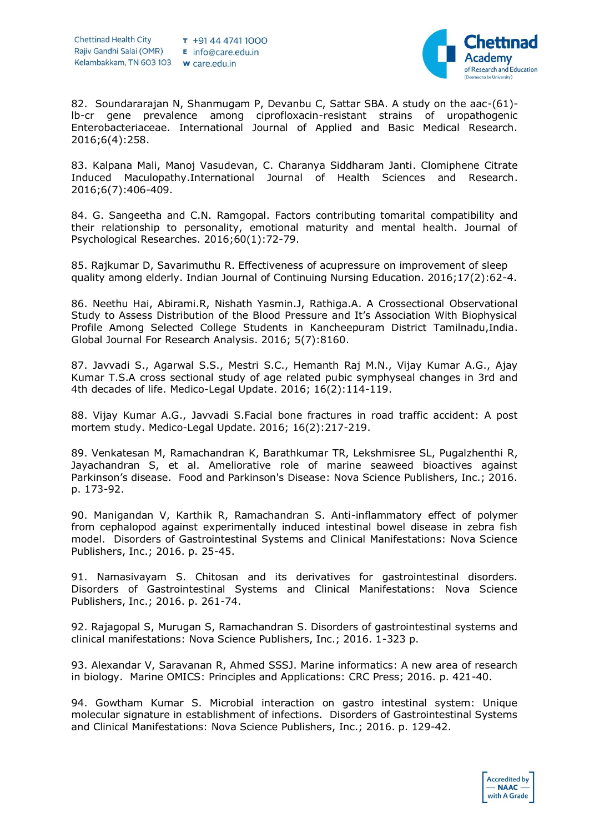

82. Soundararajan N, Shanmugam P, Devanbu C, Sattar SBA. A study on the aac-(61) lb-cr gene prevalence among ciprofloxacin-resistant strains of uropathogenic Enterobacteriaceae. International Journal of Applied and Basic Medical Research. 2016;6(4):258.

83. Kalpana Mali, Manoj Vasudevan, C. Charanya Siddharam Janti. Clomiphene Citrate Induced Maculopathy.International Journal of Health Sciences and Research. 2016;6(7):406-409.

84. G. Sangeetha and C.N. Ramgopal. Factors contributing tomarital compatibility and their relationship to personality, emotional maturity and mental health. Journal of Psychological Researches. 2016;60(1):72-79.

85. Rajkumar D, Savarimuthu R. Effectiveness of acupressure on improvement of sleep quality among elderly. Indian Journal of Continuing Nursing Education. 2016;17(2):62-4.

86. Neethu Hai, Abirami.R, Nishath Yasmin.J, Rathiga.A. A Crossectional Observational Study to Assess Distribution of the Blood Pressure and It's Association With Biophysical Profile Among Selected College Students in Kancheepuram District Tamilnadu,India. Global Journal For Research Analysis. 2016; 5(7):8160.

87. Javvadi S., Agarwal S.S., Mestri S.C., Hemanth Raj M.N., Vijay Kumar A.G., Ajay Kumar T.S.A cross sectional study of age related pubic symphyseal changes in 3rd and 4th decades of life. Medico-Legal Update. 2016; 16(2):114-119.

88. Vijay Kumar A.G., Javvadi S.Facial bone fractures in road traffic accident: A post mortem study. Medico-Legal Update. 2016; 16(2):217-219.

89. Venkatesan M, Ramachandran K, Barathkumar TR, Lekshmisree SL, Pugalzhenthi R, Jayachandran S, et al. Ameliorative role of marine seaweed bioactives against Parkinson's disease. Food and Parkinson's Disease: Nova Science Publishers, Inc.; 2016. p. 173-92.

90. Manigandan V, Karthik R, Ramachandran S. Anti-inflammatory effect of polymer from cephalopod against experimentally induced intestinal bowel disease in zebra fish model. Disorders of Gastrointestinal Systems and Clinical Manifestations: Nova Science Publishers, Inc.; 2016. p. 25-45.

91. Namasivayam S. Chitosan and its derivatives for gastrointestinal disorders. Disorders of Gastrointestinal Systems and Clinical Manifestations: Nova Science Publishers, Inc.; 2016. p. 261-74.

92. Rajagopal S, Murugan S, Ramachandran S. Disorders of gastrointestinal systems and clinical manifestations: Nova Science Publishers, Inc.; 2016. 1-323 p.

93. Alexandar V, Saravanan R, Ahmed SSSJ. Marine informatics: A new area of research in biology. Marine OMICS: Principles and Applications: CRC Press; 2016. p. 421-40.

94. Gowtham Kumar S. Microbial interaction on gastro intestinal system: Unique molecular signature in establishment of infections. Disorders of Gastrointestinal Systems and Clinical Manifestations: Nova Science Publishers, Inc.; 2016. p. 129-42.